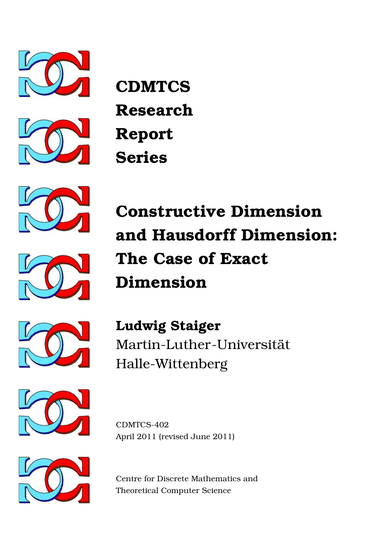



**CDMTCS Research Report Series**





**Constructive Dimension and Hausdorff Dimension: The Case of Exact Dimension**



**Ludwig Staiger** Martin-Luther-Universität Halle-Wittenberg



CDMTCS-402 April 2011 (revised June 2011)



Centre for Discrete Mathematics and Theoretical Computer Science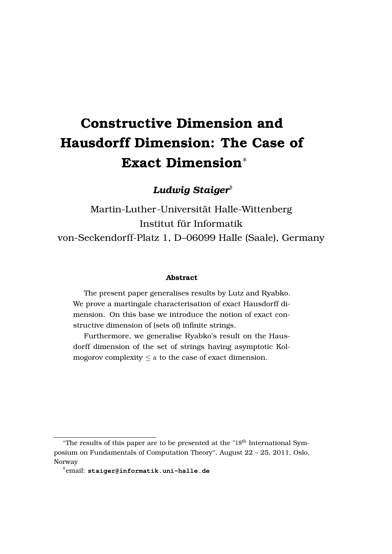# **Constructive Dimension and Hausdorff Dimension: The Case of Exact Dimension**<sup>∗</sup>

*Ludwig Staiger*†

Martin-Luther-Universitat Halle-Wittenberg ¨ Institut für Informatik von-Seckendorff-Platz 1, D–06099 Halle (Saale), Germany

#### **Abstract**

The present paper generalises results by Lutz and Ryabko. We prove a martingale characterisation of exact Hausdorff dimension. On this base we introduce the notion of exact constructive dimension of (sets of) infinite strings.

Furthermore, we generalise Ryabko's result on the Hausdorff dimension of the set of strings having asymptotic Kolmogorov complexity  $\leq \alpha$  to the case of exact dimension.

<sup>∗</sup>The results of this paper are to be presented at the "18th International Symposium on Fundamentals of Computation Theory'', August 22 – 25, 2011, Oslo, Norway

<sup>†</sup>email: **staiger@informatik.uni-halle.de**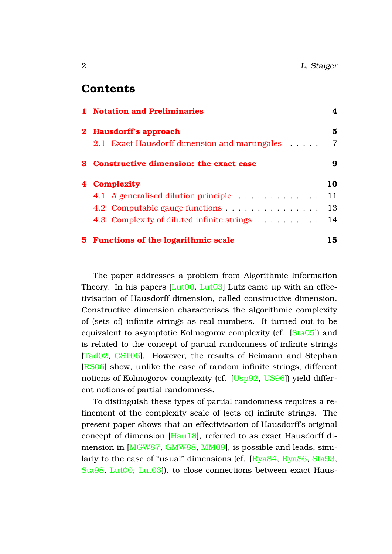#### **Contents**

|  | 1 Notation and Preliminaries                  | 4              |
|--|-----------------------------------------------|----------------|
|  | 2 Hausdorff's approach                        | 5              |
|  | 2.1 Exact Hausdorff dimension and martingales | $\overline{7}$ |
|  | 3 Constructive dimension: the exact case      | 9              |
|  | 4 Complexity                                  | 10             |
|  | 4.1 A generalised dilution principle          | 11             |
|  | 4.2 Computable gauge functions                | 13             |
|  | 4.3 Complexity of diluted infinite strings    | 14             |
|  | 5 Functions of the logarithmic scale          | 15             |

The paper addresses a problem from Algorithmic Information Theory. In his papers [\[Lut00,](#page-18-0) [Lut03\]](#page-18-1) Lutz came up with an effectivisation of Hausdorff dimension, called constructive dimension. Constructive dimension characterises the algorithmic complexity of (sets of) infinite strings as real numbers. It turned out to be equivalent to asymptotic Kolmogorov complexity (cf. [\[Sta05\]](#page-19-0)) and is related to the concept of partial randomness of infinite strings [\[Tad02,](#page-19-1) [CST06\]](#page-17-0). However, the results of Reimann and Stephan [\[RS06\]](#page-18-2) show, unlike the case of random infinite strings, different notions of Kolmogorov complexity (cf. [\[Usp92,](#page-19-2) [US96\]](#page-19-3)) yield different notions of partial randomness.

To distinguish these types of partial randomness requires a refinement of the complexity scale of (sets of) infinite strings. The present paper shows that an effectivisation of Hausdorff's original concept of dimension [\[Hau18\]](#page-18-3), referred to as exact Hausdorff dimension in [\[MGW87,](#page-18-4) [GMW88,](#page-18-5) [MM09\]](#page-18-6), is possible and leads, similarly to the case of "usual" dimensions (cf. [\[Rya84,](#page-19-4) [Rya86,](#page-19-5) [Sta93,](#page-19-6) [Sta98,](#page-19-7) [Lut00,](#page-18-0) [Lut03\]](#page-18-1)), to close connections between exact Haus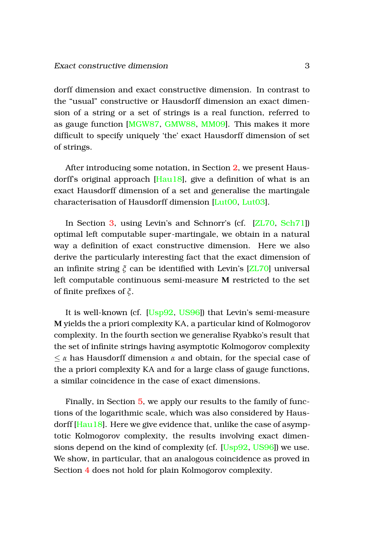dorff dimension and exact constructive dimension. In contrast to the "usual" constructive or Hausdorff dimension an exact dimension of a string or a set of strings is a real function, referred to as gauge function [\[MGW87,](#page-18-4) [GMW88,](#page-18-5) [MM09\]](#page-18-6). This makes it more difficult to specify uniquely 'the' exact Hausdorff dimension of set of strings.

After introducing some notation, in Section [2,](#page-5-0) we present Hausdorff's original approach [\[Hau18\]](#page-18-3), give a definition of what is an exact Hausdorff dimension of a set and generalise the martingale characterisation of Hausdorff dimension [\[Lut00,](#page-18-0) [Lut03\]](#page-18-1).

In Section [3,](#page-9-0) using Levin's and Schnorr's (cf. [\[ZL70,](#page-20-0) [Sch71\]](#page-19-8)) optimal left computable super-martingale, we obtain in a natural way a definition of exact constructive dimension. Here we also derive the particularly interesting fact that the exact dimension of an infinite string *ξ* can be identified with Levin's [\[ZL70\]](#page-20-0) universal left computable continuous semi-measure **M** restricted to the set of finite prefixes of *ξ*.

It is well-known (cf. [\[Usp92,](#page-19-2) [US96\]](#page-19-3)) that Levin's semi-measure **M** yields the a priori complexity KA, a particular kind of Kolmogorov complexity. In the fourth section we generalise Ryabko's result that the set of infinite strings having asymptotic Kolmogorov complexity ≤ *α* has Hausdorff dimension *α* and obtain, for the special case of the a priori complexity KA and for a large class of gauge functions, a similar coincidence in the case of exact dimensions.

Finally, in Section [5,](#page-15-0) we apply our results to the family of functions of the logarithmic scale, which was also considered by Hausdorff [\[Hau18\]](#page-18-3). Here we give evidence that, unlike the case of asymptotic Kolmogorov complexity, the results involving exact dimensions depend on the kind of complexity (cf. [\[Usp92,](#page-19-2) [US96\]](#page-19-3)) we use. We show, in particular, that an analogous coincidence as proved in Section [4](#page-10-0) does not hold for plain Kolmogorov complexity.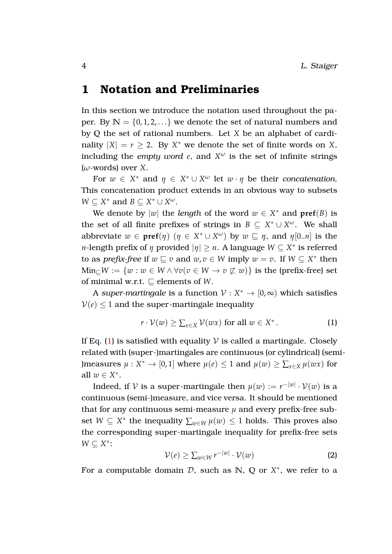## <span id="page-4-0"></span>**1 Notation and Preliminaries**

In this section we introduce the notation used throughout the paper. By  $\mathbb{N} = \{0, 1, 2, \ldots\}$  we denote the set of natural numbers and by **Q** the set of rational numbers. Let *X* be an alphabet of cardinality  $|X| = r \ge 2$ . By  $X^*$  we denote the set of finite words on *X*, including the *empty word*  $e$ , and  $X^{\omega}$  is the set of infinite strings (*ω*-words) over *X*.

For  $w \in X^*$  and  $\eta \in X^* \cup X^{\omega}$  let  $w \cdot \eta$  be their *concatenation*. This concatenation product extends in an obvious way to subsets  $W \subseteq X^*$  and  $B \subseteq X^* \cup X^{\omega}$ .

We denote by  $|w|$  the *length* of the word  $w \in X^*$  and  $\text{pref}(B)$  is the set of all finite prefixes of strings in  $B \subseteq X^* \cup X^{\omega}$ . We shall abbreviate  $w \in \text{pref}(\eta)$   $(\eta \in X^* \cup X^{\omega})$  by  $w \subseteq \eta$ , and  $\eta[0..n]$  is the *n*-length prefix of  $η$  provided  $|η| ≥ n$ . A language  $W ⊆ X^*$  is referred to as *prefix-free* if  $w \subseteq v$  and  $w, v \in W$  imply  $w = v$ . If  $W \subseteq X^*$  then  $Min_{\square}W := \{w : w \in W \land \forall v(v \in W \rightarrow v \not\sqsubset w)\}\$ is the (prefix-free) set of minimal w.r.t.  $\sqsubseteq$  elements of *W*.

A super-martingale is a function  $\mathcal{V}: X^* \to [0,\infty)$  which satisfies  $V(e) \leq 1$  and the super-martingale inequality

<span id="page-4-1"></span>
$$
r \cdot \mathcal{V}(w) \ge \sum_{x \in X} \mathcal{V}(wx) \text{ for all } w \in X^*.
$$
 (1)

If Eq. [\(1\)](#page-4-1) is satisfied with equality  $V$  is called a martingale. Closely related with (super-)martingales are continuous (or cylindrical) (semi- )measures  $\mu: X^* \to [0, 1]$  where  $\mu(e) \leq 1$  and  $\mu(w) \geq \sum_{x \in X} \mu(wx)$  for all  $w \in X^*$ .

Indeed, if  ${\mathcal V}$  is a super-martingale then  $\mu(w):=r^{-|w|}\cdot {\mathcal V}(w)$  is a continuous (semi-)measure, and vice versa. It should be mentioned that for any continuous semi-measure *µ* and every prefix-free subset  $W \subseteq X^*$  the inequality  $\sum_{w \in W} \mu(w) \leq 1$  holds. This proves also the corresponding super-martingale inequality for prefix-free sets *W* ⊆ *X* ∗ :

<span id="page-4-2"></span>
$$
\mathcal{V}(e) \ge \sum_{w \in W} r^{-|w|} \cdot \mathcal{V}(w) \tag{2}
$$

For a computable domain  $D$ , such as  $N$ ,  $Q$  or  $X^*$ , we refer to a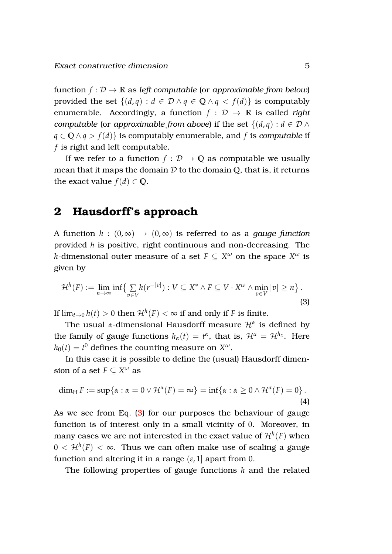function  $f: \mathcal{D} \to \mathbb{R}$  as *left computable* (or *approximable from below*) provided the set  $\{(d, q) : d \in \mathcal{D} \land q \in \mathbb{Q} \land q < f(d)\}$  is computably enumerable. Accordingly, a function  $f : \mathcal{D} \to \mathbb{R}$  is called *right computable* (or *approximable from above*) if the set  $\{(d, q) : d \in \mathcal{D} \land$ *q* ∈ **Q** ∧ *q* > *f*(*d*)} is computably enumerable, and *f* is *computable* if *f* is right and left computable.

If we refer to a function  $f : \mathcal{D} \to \mathbb{Q}$  as computable we usually mean that it maps the domain D to the domain **Q**, that is, it returns the exact value  $f(d) \in \mathbb{Q}$ .

## <span id="page-5-0"></span>**2 Hausdorff's approach**

A function  $h : (0, \infty) \to (0, \infty)$  is referred to as a *gauge function* provided *h* is positive, right continuous and non-decreasing. The *h*-dimensional outer measure of a set  $F \subseteq X^\omega$  on the space  $X^\omega$  is given by

<span id="page-5-1"></span>
$$
\mathcal{H}^{h}(F) := \lim_{n \to \infty} \inf \{ \sum_{v \in V} h(r^{-|v|}) : V \subseteq X^* \wedge F \subseteq V \cdot X^{\omega} \wedge \min_{v \in V} |v| \ge n \}.
$$
\n(3)

If  $\lim_{t\to 0}h(t)>0$  then  $\mathcal{H}^h(F)<\infty$  if and only if  $F$  is finite.

The usual *α*-dimensional Hausdorff measure H*<sup>α</sup>* is defined by the family of gauge functions  $h_\alpha(t) = t^\alpha$ , that is,  $\mathcal{H}^\alpha = \mathcal{H}^{h_\alpha}$ . Here  $h_0(t) = t^0$  defines the counting measure on  $X^{\omega}$ .

In this case it is possible to define the (usual) Hausdorff dimension of a set  $F \subseteq X^{\omega}$  as

<span id="page-5-2"></span>
$$
\dim_{\mathrm{H}} F := \sup \{ \alpha : \alpha = 0 \vee \mathcal{H}^{\alpha}(F) = \infty \} = \inf \{ \alpha : \alpha \geq 0 \wedge \mathcal{H}^{\alpha}(F) = 0 \}.
$$
\n(4)

As we see from Eq. [\(3\)](#page-5-1) for our purposes the behaviour of gauge function is of interest only in a small vicinity of 0. Moreover, in many cases we are not interested in the exact value of  $\mathcal{H}^h(F)$  when  $0<\mathcal{H}^{h}(F)<\infty.$  Thus we can often make use of scaling a gauge function and altering it in a range  $(\varepsilon, 1]$  apart from 0.

The following properties of gauge functions *h* and the related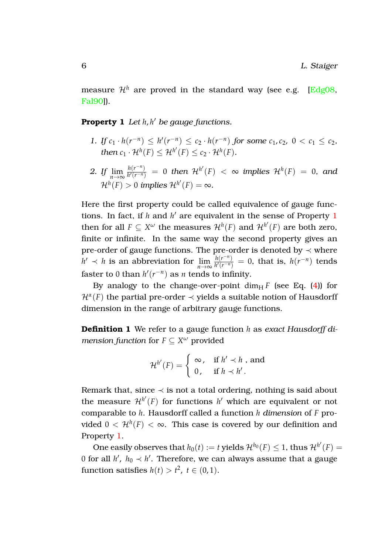<span id="page-6-0"></span>measure  $\mathcal{H}^h$  are proved in the standard way (see e.g. [\[Edg08,](#page-17-1) [Fal90\]](#page-18-7)).

#### **Property 1** *Let h*, *h* <sup>0</sup> *be gauge functions.*

- *1. If*  $c_1 \cdot h(r^{-n}) \le h'(r^{-n}) \le c_2 \cdot h(r^{-n})$  *for some*  $c_1, c_2, 0 < c_1 \le c_2$ *, then*  $c_1 \cdot \mathcal{H}^h(F) \leq \mathcal{H}^{h'}(F) \leq c_2 \cdot \mathcal{H}^h(F)$ *.*
- 2. *If*  $\lim_{n \to \infty} \frac{h(r^{-n})}{h'(r^{-n})}$  $\frac{h(r^{-n})}{h'(r^{-n})} = 0$  *then*  $\mathcal{H}^{h'}(F) < \infty$  *implies*  $\mathcal{H}^{h}(F) = 0$ *, and*  $\mathcal{H}^h(F)>0$  implies  $\mathcal{H}^{h'}(F)=\infty$ .

Here the first property could be called equivalence of gauge functions. In fact, if  $h$  and  $h'$  are equivalent in the sense of Property [1](#page-6-0) then for all  $F \subseteq X^\omega$  the measures  $\mathcal{H}^h(F)$  and  $\mathcal{H}^{h'}(F)$  are both zero, finite or infinite. In the same way the second property gives an pre-order of gauge functions. The pre-order is denoted by  $\prec$  where  $h' \prec h$  is an abbreviation for  $\lim_{n \to \infty} \frac{h(r^{-n})}{h'(r^{-n})}$  $\frac{h(r^{-n})}{h'(r^{-n})} = 0$ , that is,  $h(r^{-n})$  tends faster to 0 than  $h'(r^{-n})$  as *n* tends to infinity.

By analogy to the change-over-point  $\dim_\text{H} F$  (see Eq. [\(4\)](#page-5-2)) for  $\mathcal{H}^{\alpha}(F)$  the partial pre-order  $\prec$  yields a suitable notion of Hausdorff dimension in the range of arbitrary gauge functions.

**Definition 1** We refer to a gauge function *h* as *exact Hausdorff dimension function* for  $F \subseteq X^\omega$  provided

$$
\mathcal{H}^{h'}(F) = \begin{cases} \infty, & \text{if } h' \prec h , \text{ and} \\ 0, & \text{if } h \prec h' . \end{cases}
$$

Remark that, since  $\prec$  is not a total ordering, nothing is said about the measure  $\mathcal{H}^{h'}(F)$  for functions  $h'$  which are equivalent or not comparable to *h*. Hausdorff called a function *h dimension* of *F* provided  $0<\mathcal{H}^{h}(F)<\infty.$  This case is covered by our definition and Property [1.](#page-6-0)

One easily observes that  $h_0(t) := t$  yields  $\mathcal{H}^{h_0}(F) \leq 1$ , thus  $\mathcal{H}^{h'}(F) = 0$ 0 for all  $h'$ ,  $h_0 \prec h'$ . Therefore, we can always assume that a gauge function satisfies  $h(t) > t^2$ ,  $t \in (0,1)$ .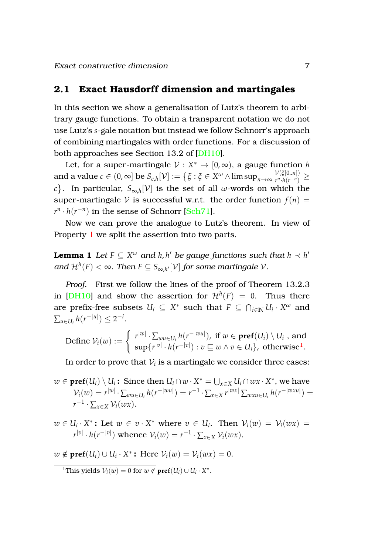#### <span id="page-7-0"></span>**2.1 Exact Hausdorff dimension and martingales**

In this section we show a generalisation of Lutz's theorem to arbitrary gauge functions. To obtain a transparent notation we do not use Lutz's *s*-gale notation but instead we follow Schnorr's approach of combining martingales with order functions. For a discussion of both approaches see Section 13.2 of [\[DH10\]](#page-17-2).

Let, for a super-martingale  $\mathcal{V}: X^* \to [0,\infty)$ , a gauge function *h*  $\quad \text{and a value } c \in (0,\infty] \text{ be } S_{c,h}[\mathcal{V}] := \big\{ \xi: \xi \in X^\omega \wedge \limsup_{n \to \infty} \frac{\mathcal{V}(\xi[0..n])}{r^n.h(r^{-n})} \big\}$  $\frac{\nu(\zeta[0..n])}{r^n \cdot h(r^{-n})} \geq$  $c$ }. In particular,  $S_{\infty,h}[\mathcal{V}]$  is the set of all *ω*-words on which the super-martingale V is successful w.r.t. the order function  $f(n)$  =  $r^n \cdot h(r^{-n})$  in the sense of Schnorr [\[Sch71\]](#page-19-8).

<span id="page-7-2"></span>Now we can prove the analogue to Lutz's theorem. In view of Property [1](#page-6-0) we split the assertion into two parts.

**Lemma 1** Let  $F \subseteq X^\omega$  and  $h, h'$  be gauge functions such that  $h \prec h'$ and  $\mathcal{H}^h(F)<\infty.$  Then  $F\subseteq S_{\infty,h'}[\mathcal{V}]$  for some martingale  $\mathcal{V}.$ 

*Proof.* First we follow the lines of the proof of Theorem 13.2.3 in [\[DH10\]](#page-17-2) and show the assertion for  $\mathcal{H}^{h}(F) = 0$ . Thus there are prefix-free subsets  $U_i \subseteq X^*$  such that  $F \subseteq \bigcap_{i \in \mathbb{N}} U_i \cdot X^{\omega}$  and  $\sum_{u \in U_i} h(r^{-|u|}) \leq 2^{-i}.$ 

Define 
$$
\mathcal{V}_i(w) := \begin{cases} r^{|w|} \cdot \sum_{wu \in U_i} h(r^{-|wu|}), \text{ if } w \in \textbf{pref}(U_i) \setminus U_i, \text{ and } \\ \sup \{ r^{|v|} \cdot h(r^{-|v|}) : v \sqsubseteq w \wedge v \in U_i \}, \text{ otherwise}^1. \end{cases}
$$

In order to prove that  $\mathcal{V}_i$  is a martingale we consider three cases:

- $w \in \textbf{pref}(U_i) \setminus U_i$ : Since then  $U_i \cap w \cdot X^* = \bigcup_{x \in X} U_i \cap wx \cdot X^*$ , we have  $V_i(w) = r^{|w|} \cdot \sum_{wu \in U_i} h(r^{-|wu|}) = r^{-1} \cdot \sum_{x \in X} r^{|wx|} \sum_{wxu \in U_i} h(r^{-|wxu|}) =$  $r^{-1} \cdot \sum_{x \in X} \mathcal{V}_i(wx).$
- $w \in U_i \cdot X^*$ : Let  $w \in v \cdot X^*$  where  $v \in U_i$ . Then  $V_i(w) = V_i(wx)$  $r^{|v|} \cdot h(r^{-|v|})$  whence  $\mathcal{V}_i(w) = r^{-1} \cdot \sum_{x \in X} \mathcal{V}_i(wx)$ .
- $w \notin \text{pref}(U_i) \cup U_i \cdot X^*$ : Here  $\mathcal{V}_i(w) = \mathcal{V}_i(wx) = 0.$

<span id="page-7-1"></span><sup>1</sup>This yields  $V_i(w) = 0$  for  $w \notin \text{pref}(U_i) \cup U_i \cdot X^*$ .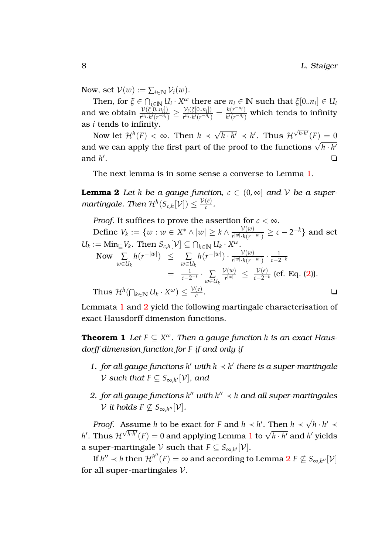Now, set  $V(w) := \sum_{i \in \mathbb{N}} V_i(w)$ .

Then, for  $\xi \in \bigcap_{i \in \mathbb{N}} U_i \cdot X^\omega$  there are  $n_i \in \mathbb{N}$  such that  $\xi[0..n_i] \in U_i$ and we obtain  $\frac{\mathcal{V}(\xi[0..n_i])}{r^{n_i} \cdot h/(r^{-n_i})}$  $\frac{\mathcal{V}(\xi[0..n_i])}{r^{n_i} \cdot h'(r^{-n_i})} \geq \frac{\mathcal{V}_i(\xi[0..n_i])}{r^{n_i} \cdot h'(r^{-n_i})}$  $\frac{\mathcal{V}_i(\xi[0..n_i])}{r^{n_i} \cdot h'(r^{-n_i})} = \frac{h(r^{-n_i})}{h'(r^{-n_i})}$  $\frac{h(r-t)}{h'(r^{-n}t)}$  which tends to infinity as *i* tends to infinity. √

Now let  $\mathcal{H}^h(F) < \infty$ . Then  $h \prec$  $\overline{h \cdot h'} \prec h'$ . Thus  $\mathcal H$  $\sqrt{h \cdot h'}(F) = 0$ and we can apply the first part of the proof to the functions  $\sqrt{h \cdot h'}$ and *h* 0 . <mark>∟</mark> ⊇and a strong part of the strong part of the strong part of the strong part of the strong part of the strong part of the strong part of the strong part of the strong part of the strong part of the strong part of the

<span id="page-8-0"></span>The next lemma is in some sense a converse to Lemma [1.](#page-7-2)

**Lemma 2** Let *h* be a gauge function,  $c \in (0, \infty]$  and V be a super*martingale. Then*  $\mathcal{H}^h(S_{c,h}[\mathcal{V}]) \leq \frac{\mathcal{V}(e)}{c}$  $\frac{(e)}{c}$ .

*Proof.* It suffices to prove the assertion for  $c < \infty$ .

Define  $V_k := \{w : w \in X^* \wedge |w| \geq k \wedge \frac{\mathcal{V}(w)}{r^{|w|} \cdot h(r^{-1})} \}$  $\frac{\mathcal{V}(w)}{r^{|w|}\cdot h(r^{-|w|})} \geq c-2^{-k}\}$  and set  $U_k := \text{Min}_{\sqsubseteq} V_k$ . Then  $S_{c,h}[V] \subseteq \bigcap_{k \in \mathbb{N}} U_k \cdot X^{\omega}$ . Now ∑ *w*∈*U<sup>k</sup>*  $h(r^{-|w|})$  ≤ ∑ *w*∈*U<sup>k</sup>*  $h(r^{-|w|}) \cdot \frac{\mathcal{V}(w)}{|w| \cdot h(r^{-})}$  $\frac{\mathcal{V}(w)}{r^{|w|} \cdot h(r^{-|w|})} \cdot \frac{1}{c-2}$ *c*−2−*<sup>k</sup>*  $= \frac{1}{c-2^{-k}} \cdot \sum_{m \in I}$ *w*∈*U<sup>k</sup>*  $\mathcal{V}(w)$  $\frac{\mathcal{V}(w)}{r^{|w|}} \leq \frac{\mathcal{V}(e)}{c-2^{-n}}$ *c*−2−*<sup>k</sup>* (cf. Eq. [\(2\)](#page-4-2)).  $\text{Thus } \mathcal{H}^h(\bigcap_{k \in \mathbb{N}} U_k \cdot X^\omega) \leq \frac{\mathcal{V}(e)}{c}$ *c* . ❏

<span id="page-8-1"></span>Lemmata [1](#page-7-2) and [2](#page-8-0) yield the following martingale characterisation of exact Hausdorff dimension functions.

**Theorem 1** Let  $F \subseteq X^\omega$ . Then a gauge function *h* is an exact Haus*dorff dimension function for F if and only if*

- 1. *for all gauge functions*  $h'$  *with*  $h \prec h'$  *there is a super-martingale*  $\mathcal V$  such that  $F\subseteq S_{\infty,h'}[\mathcal V]$ , and
- 2. *for all gauge functions*  $h''$  *with*  $h'' \prec h$  *and all super-martingales*  $\mathcal V$  *it holds*  $F \not\subseteq S_{\infty,h''}[\mathcal V].$

*Proof.* Assume *h* to be exact for *F* and  $h \prec h'$ . Then  $h \prec$ √ Assume *h* to be exact for *F* and  $h \prec h'$ . Then  $h \prec \sqrt{h \cdot h'} \prec$ *h*<sup> $h$ </sup>. Thus  $\mathcal{H}^{\sqrt{h \cdot h'}}(F) = 0$  and applying Lemma [1](#page-7-2) to  $\sqrt{h \cdot h'}$  and *h*<sup> $l$ </sup> yields a super-martingale  $\mathcal V$  such that  $F \subseteq S_{\infty,h'}[\mathcal V].$ 

If  $h'' \prec h$  then  ${\cal H}^{h''}(F) = \infty$  and according to Lemma  $\mathbf{2} \ F \not\subseteq S_{\infty, h''} [{\cal V}]$  $\mathbf{2} \ F \not\subseteq S_{\infty, h''} [{\cal V}]$  $\mathbf{2} \ F \not\subseteq S_{\infty, h''} [{\cal V}]$ for all super-martingales  $V$ .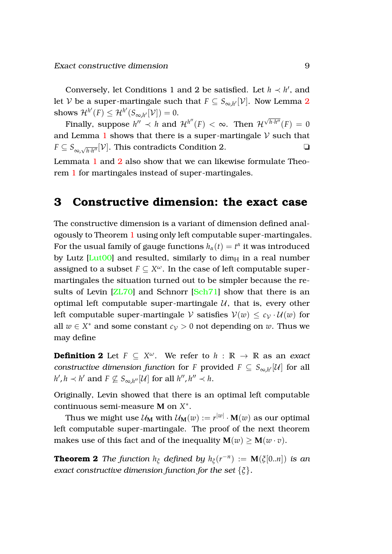Conversely, let Conditions 1 and 2 be satisfied. Let  $h \prec h'$ , and let  $\mathcal V$  be a super-martingale such that  $F\subseteq S_{\infty,h'}[\mathcal V].$  Now Lemma  $2$  $\text{shows} \; \mathcal{H}^{h'}(F) \leq \mathcal{H}^{h'}(S_{\infty,h'}[\mathcal{V}]) = 0.$ 

Finally, suppose  $h'' \prec h$  and  $\mathcal{H}^{h''}(F) < \infty$ . Then  $\mathcal{H}^{\sqrt{h \cdot h''}}(F) = 0$ and Lemma [1](#page-7-2) shows that there is a super-martingale  $\mathcal V$  such that  $F \subseteq S_{\infty, \sqrt{h \cdot h''}}[\mathcal{V}]$ . This contradicts Condition 2.

Lemmata [1](#page-7-2) and [2](#page-8-0) also show that we can likewise formulate Theorem [1](#page-8-1) for martingales instead of super-martingales.

### <span id="page-9-0"></span>**3 Constructive dimension: the exact case**

The constructive dimension is a variant of dimension defined analogously to Theorem [1](#page-8-1) using only left computable super-martingales. For the usual family of gauge functions  $h_\alpha(t) = t^\alpha$  it was introduced by Lutz  $[Lut00]$  and resulted, similarly to dim $_H$  in a real number assigned to a subset  $F \subseteq X^\omega$ . In the case of left computable supermartingales the situation turned out to be simpler because the results of Levin [\[ZL70\]](#page-20-0) and Schnorr [\[Sch71\]](#page-19-8) show that there is an optimal left computable super-martingale  $U$ , that is, every other left computable super-martingale V satisfies  $V(w) \leq c_V \cdot U(w)$  for all  $w \in X^*$  and some constant  $c_V > 0$  not depending on  $w$ . Thus we may define

**Definition 2** Let  $F \subseteq X^{\omega}$ . We refer to  $h : \mathbb{R} \to \mathbb{R}$  as an *exact constructive dimension function for <i>F* provided  $F \subseteq S_{\infty,h'}[\mathcal{U}]$  for all  $h', h \prec h'$  and  $F \nsubseteq S_{\infty, h''}[\mathcal{U}]$  for all  $h'', h'' \prec h$ .

Originally, Levin showed that there is an optimal left computable continuous semi-measure **M** on *X* ∗ .

Thus we might use  $\mathcal{U}_\mathbf{M}$  with  $\mathcal{U}_\mathbf{M}(w) := r^{|w|}\cdot \mathbf{M}(w)$  as our optimal left computable super-martingale. The proof of the next theorem makes use of this fact and of the inequality  $M(w) > M(w \cdot v)$ .

**Theorem 2** *The function*  $h_{\xi}$  *defined by*  $h_{\xi}(r^{-n}) := \mathbf{M}(\xi[0..n])$  *is an exact constructive dimension function for the set* {*ξ*}*.*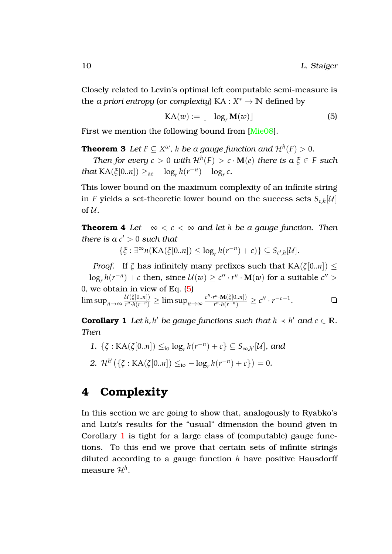Closely related to Levin's optimal left computable semi-measure is the *a priori entropy* (or *complexity*)  $KA: X^* \to \mathbb{N}$  defined by

<span id="page-10-1"></span>
$$
KA(w) := \lfloor -\log_r M(w) \rfloor \tag{5}
$$

First we mention the following bound from [\[Mie08\]](#page-18-8).

<code>Theorem 3</code> Let  $F \subseteq X^\omega$  ,  $h$  be a gauge function and  $\mathcal{H}^h(F) > 0.$ 

*Then for every*  $c > 0$  *with*  $\mathcal{H}^h(F) > c \cdot M(e)$  *there is*  $a \xi \in F$  *such that*  $\text{KA}(\xi[0..n]) \geq_{\text{ae}} - \log_r h(r^{-n}) - \log_r c$ .

This lower bound on the maximum complexity of an infinite string in *F* yields a set-theoretic lower bound on the success sets  $S_{c,h}[\mathcal{U}]$ of  $\mathcal U$ .

**Theorem 4** *Let*  $-\infty < c < \infty$  *and let h be a gauge function. Then there is*  $a c' > 0$  *such that* 

 $\{\xi : \exists^{\infty} n(\text{KA}(\xi[0..n]) \leq \log_r h(r^{-n}) + c)\} \subseteq S_{c',h}[\mathcal{U}].$ 

*Proof.* If  $\zeta$  has infinitely many prefixes such that  $KA(\zeta[0..n]) \leq$  $-\log_r h(r^{-n}) + c$  then, since  $\mathcal{U}(w) \ge c'' \cdot r^n \cdot \mathbf{M}(w)$  for a suitable  $c'' > 0$ 0, we obtain in view of Eq. [\(5\)](#page-10-1) lim sup<sub>*n→∞*  $\frac{\mathcal{U}(\xi[0..n])}{r^n \cdot h(r^{-n})}$ </sub>  $\frac{\mathcal{U}(\tilde{\zeta}[0..n])}{r^n \cdot h(r^{-n})} \geq \limsup_{n \to \infty} \frac{c'' \cdot r^n \cdot \mathbf{M}(\tilde{\zeta}[0..n])}{r^n \cdot h(r^{-n})}$  $\frac{r^n \cdot \mathbf{M}(\xi[0..n])}{r^n \cdot h(r^{-n})} \geq c'' \cdot r^{-c-1}$ . ❏

<span id="page-10-2"></span>**Corollary 1** *Let h*, *h' be gauge functions such that*  $h \prec h'$  *and*  $c \in \mathbb{R}$ *. Then*

<span id="page-10-3"></span>*1.* { $\xi$  : KA( $\xi$ [0..*n*]) ≤<sub>io</sub> log<sub>*r*</sub></sub> *h*( $r^{-n}$ ) + *c*} ⊆ *S*<sub>∞,*h'*</sub> [*U*]*,* and 2.  $\mathcal{H}^{h'}(\{\xi : KA(\xi[0..n]) \leq_{io} - \log_r h(r^{-n}) + c\}) = 0.$ 

# <span id="page-10-0"></span>**4 Complexity**

In this section we are going to show that, analogously to Ryabko's and Lutz's results for the "usual" dimension the bound given in Corollary [1](#page-10-2) is tight for a large class of (computable) gauge functions. To this end we prove that certain sets of infinite strings diluted according to a gauge function *h* have positive Hausdorff measure H*<sup>h</sup>* .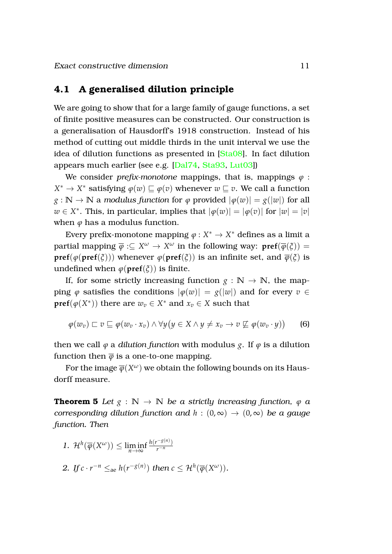#### <span id="page-11-0"></span>**4.1 A generalised dilution principle**

We are going to show that for a large family of gauge functions, a set of finite positive measures can be constructed. Our construction is a generalisation of Hausdorff's 1918 construction. Instead of his method of cutting out middle thirds in the unit interval we use the idea of dilution functions as presented in [\[Sta08\]](#page-19-9). In fact dilution appears much earlier (see e.g. [\[Dal74,](#page-17-3) [Sta93,](#page-19-6) [Lut03\]](#page-18-1))

We consider *prefix-monotone* mappings, that is, mappings  $\varphi$ :  $X^* \to X^*$  satisfying  $\varphi(w) \sqsubseteq \varphi(v)$  whenever  $w \sqsubseteq v$ . We call a function  $g : \mathbb{N} \to \mathbb{N}$  a *modulus function* for  $\varphi$  provided  $|\varphi(w)| = g(|w|)$  for all  $w \in X^*$ . This, in particular, implies that  $|\varphi(w)| = |\varphi(v)|$  for  $|w| = |v|$ when  $\varphi$  has a modulus function.

Every prefix-monotone mapping  $\varphi: X^* \to X^*$  defines as a limit a  $p$ artial mapping  $\overline{\varphi}:\subseteq X^{\omega}\to X^{\omega}$  in the following way:  $\textbf{pref}(\overline{\varphi}(\xi))=0$ **pref**( $\phi$ (**pref**( $\zeta$ ))) whenever  $\phi$ (**pref**( $\zeta$ )) is an infinite set, and  $\overline{\phi}(\zeta)$  is undefined when  $\varphi(\text{pref}(\xi))$  is finite.

If, for some strictly increasing function  $g : \mathbb{N} \to \mathbb{N}$ , the mapping  $\varphi$  satisfies the conditions  $|\varphi(w)| = g(|w|)$  and for every  $v \in$ **pref** $(\varphi(X^*))$  there are  $w_v \in X^*$  and  $x_v \in X$  such that

<span id="page-11-1"></span>
$$
\varphi(w_v) \sqsubset v \sqsubseteq \varphi(w_v \cdot x_v) \land \forall y (y \in X \land y \neq x_v \rightarrow v \not\sqsubseteq \varphi(w_v \cdot y))
$$
 (6)

then we call  $\varphi$  a *dilution function* with modulus *g*. If  $\varphi$  is a dilution function then  $\bar{\varphi}$  is a one-to-one mapping.

<span id="page-11-2"></span>For the image  $\overline{\varphi}(X^\omega)$  we obtain the following bounds on its Hausdorff measure.

**Theorem 5** *Let*  $g : \mathbb{N} \to \mathbb{N}$  *be a strictly increasing function,*  $\phi$  *a corresponding dilution function and*  $h : (0, \infty) \to (0, \infty)$  *be a gauge function. Then*

- *1.*  $\mathcal{H}^h(\overline{\varphi}(X^{\omega})) \leq \liminf_{n \to \infty}$  $h(r^{-g(n)})$ *r*−*<sup>n</sup>*
- 2. *If*  $c \cdot r^{-n} \leq_{\text{ae}} h(r^{-g(n)})$  *then*  $c \leq \mathcal{H}^h(\overline{\varphi}(X^{\omega}))$ *.*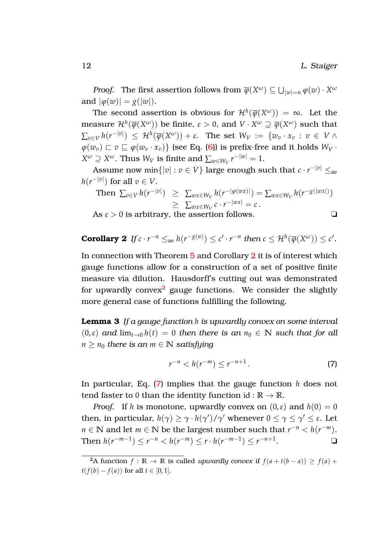*Proof.* The first assertion follows from  $\overline{\varphi}(X^{\omega}) \subseteq \bigcup_{|w|=n} \varphi(w) \cdot X^{\omega}$ and  $|\varphi(w)| = g(|w|)$ .

The second assertion is obvious for  $\mathcal{H}^h(\overline{\varphi}(X^\omega)) = \infty$ . Let the  $\mathcal{H}^{h}(\overline{\varphi}(X^{\omega}))$  be finite,  $\varepsilon>0,$  and  $V\cdot X^{\omega}\supseteq\overline{\varphi}(X^{\omega})$  such that ∑*v*∈*<sup>V</sup> h*(*r* −|*v*| ) ≤ H*<sup>h</sup>* (*ϕ*(*X <sup>ω</sup>*)) + *ε*. The set *W<sup>V</sup>* := {*w<sup>v</sup>* · *x<sup>v</sup>* : *v* ∈ *V* ∧  $\varphi(w_v) \sqsubset v \sqsubseteq \varphi(w_v \cdot x_v)$  (see Eq. [\(6\)](#page-11-1)) is prefix-free and it holds  $W_V$ .  $X^\omega \supseteq X^\omega$ . Thus  $W_V$  is finite and  $\sum_{w \in W_V} r^{-|w|} = 1$ .

Assume now min $\{|v|: v \in V\}$  large enough such that  $c \cdot r^{-|v|} \leq_\text{ae}$  $h(r^{-|v|})$  for all  $v \in V.$ 

Then 
$$
\sum_{v \in V} h(r^{-|v|}) \geq \sum_{w \in W_V} h(r^{-|\varphi(wx)|}) = \sum_{w \in W_V} h(r^{-g(|wx|)})
$$

$$
\geq \sum_{w \in W_V} c \cdot r^{-|wx|} = c.
$$

As  $\varepsilon > 0$  is arbitrary, the assertion follows.  $\Box$ 

<span id="page-12-0"></span>**Corollary 2** If 
$$
c \cdot r^{-n} \leq_{\text{ae}} h(r^{-g(n)}) \leq c' \cdot r^{-n}
$$
 then  $c \leq \mathcal{H}^h(\overline{\varphi}(X^{\omega})) \leq c'.$ 

In connection with Theorem [5](#page-11-2) and Corollary [2](#page-12-0) it is of interest which gauge functions allow for a construction of a set of positive finite measure via dilution. Hausdorff's cutting out was demonstrated for upwardly convex<sup>[2](#page-12-1)</sup> gauge functions. We consider the slightly more general case of functions fulfilling the following.

**Lemma 3** *If a gauge function h is upwardly convex on some interval*  $(0,\varepsilon)$  *and*  $\lim_{t\to 0} h(t) = 0$  *then there is an*  $n_0 \in \mathbb{N}$  *such that for all*  $n \geq n_0$  *there is an*  $m \in \mathbb{N}$  *satisfying* 

<span id="page-12-2"></span>
$$
r^{-n} < h(r^{-m}) \le r^{-n+1} \,. \tag{7}
$$

In particular, Eq. [\(7\)](#page-12-2) implies that the gauge function *h* does not tend faster to 0 than the identity function id :  $\mathbb{R} \to \mathbb{R}$ .

*Proof.* If *h* is monotone, upwardly convex on  $(0,\varepsilon)$  and  $h(0) = 0$ then, in particular,  $h(\gamma) \ge \gamma \cdot h(\gamma') / \gamma'$  whenever  $0 \le \gamma \le \gamma' \le \varepsilon$ . Let *n* ∈ **N** and let *m* ∈ **N** be the largest number such that  $r^{-n} < h(r^{-m})$ . Then  $h(r^{-m-1}) \le r^{-n} < h(r^{-m}) \le r \cdot h(r^{-m-1}) \le r^{-n+1}$  $\blacksquare$ 

<span id="page-12-3"></span><span id="page-12-1"></span><sup>&</sup>lt;sup>2</sup>A function  $f : \mathbb{R} \to \mathbb{R}$  is called *upwardly convex* if  $f(a+t(b-a)) > f(a) +$ *t*(*f*(*b*) − *f*(*a*)) for all *t* ∈ [0, 1].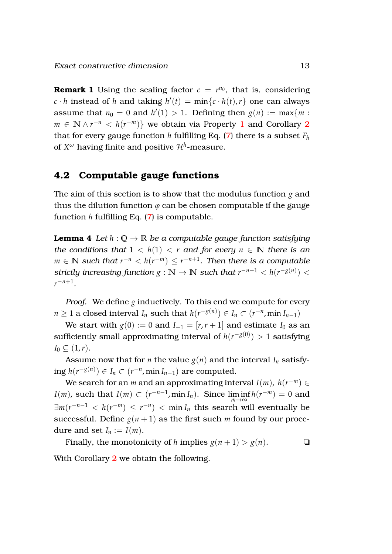**Remark 1** Using the scaling factor  $c = r^{n_0}$ , that is, considering  $c \cdot h$  instead of *h* and taking  $h'(t) = \min\{c \cdot h(t), r\}$  one can always assume that  $n_0 = 0$  and  $h'(1) > 1$ . Defining then  $g(n) := \max\{m :$ *m* ∈ **N**  $\land$  *r*<sup>-*n*</sup> < *h*(*r*<sup>-*m*</sup>)} we obtain via Property [1](#page-6-0) and Corollary [2](#page-12-0) that for every gauge function *h* fulfilling Eq. [\(7\)](#page-12-2) there is a subset  $F_h$ of  $X^\omega$  having finite and positive  $\mathcal{H}^h\text{-}\mathsf{measure}.$ 

#### <span id="page-13-0"></span>**4.2 Computable gauge functions**

The aim of this section is to show that the modulus function *g* and thus the dilution function  $\varphi$  can be chosen computable if the gauge function *h* fulfilling Eq. [\(7\)](#page-12-2) is computable.

<span id="page-13-1"></span>**Lemma 4** *Let*  $h: \mathbb{Q} \to \mathbb{R}$  *be a computable gauge function satisfying the conditions that*  $1 < h(1) < r$  *and for every*  $n \in \mathbb{N}$  *there is an*  $m \in \mathbb{N}$  *such that*  $r^{-n} < h(r^{-m}) \leq r^{-n+1}$ *. Then there is a computable strictly increasing function*  $g : \mathbb{N} \to \mathbb{N}$  *<i>such that*  $r^{-n-1} < h(r^{-g(n)}) < 1$ *r* −*n*+1 *.*

*Proof.* We define *g* inductively. To this end we compute for every *n* ≥ 1 a closed interval *I<sub>n</sub>* such that  $h(r^{-g(n)}) \in I_n \subset (r^{-n}, \min I_{n-1})$ 

We start with  $g(0) := 0$  and  $I_{-1} = [r, r+1]$  and estimate  $I_0$  as an sufficiently small approximating interval of  $h(r^{-g(0)})>1$  satisfying  $I_0 \subseteq (1,r)$ .

Assume now that for *n* the value  $g(n)$  and the interval  $I_n$  satisfying  $h(r^{-g(n)}) ∈ I_n ⊂ (r^{-n}, \min I_{n-1})$  are computed.

We search for an *m* and an approximating interval *I*(*m*), *h*( $r^{-m}$ ) ∈ *I*(*m*), such that *I*(*m*) ⊂ ( $r^{-n-1}$ , min *I<sub>n</sub>*). Since  $\liminf_{m \to \infty} h(r^{-m}) = 0$  and  $\exists m(r^{-n-1} < h(r^{-m}) \leq r^{-n})$  < min  $I_n$  this search will eventually be successful. Define  $g(n+1)$  as the first such *m* found by our procedure and set  $I_n := I(m)$ .

<span id="page-13-2"></span>Finally, the monotonicity of *h* implies  $g(n+1) > g(n)$ .

With Corollary [2](#page-12-0) we obtain the following.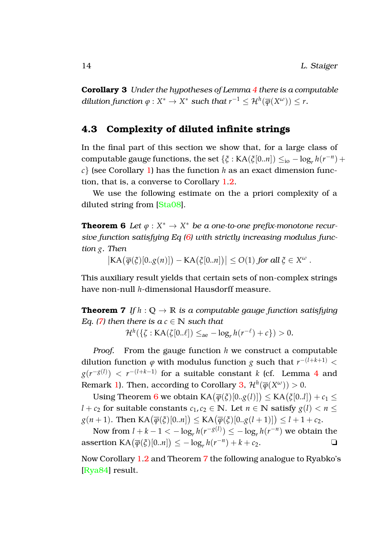**Corollary 3** *Under the hypotheses of Lemma [4](#page-13-1) there is a computable dilution function*  $\varphi: X^* \to X^*$  *such that*  $r^{-1} \leq \mathcal{H}^h(\overline{\varphi}(X^{\omega})) \leq r$ .

#### <span id="page-14-0"></span>**4.3 Complexity of diluted infinite strings**

In the final part of this section we show that, for a large class of computable gauge functions, the set  $\{\xi : KA(\xi[0..n]) \leq_{io} - \log_r h(r^{-n}) +$ *c*} (see Corollary [1\)](#page-10-2) has the function *h* as an exact dimension function, that is, a converse to Corollary [1](#page-10-2)[.2.](#page-10-3)

We use the following estimate on the a priori complexity of a diluted string from [\[Sta08\]](#page-19-9).

**Theorem 6** Let  $\varphi: X^* \to X^*$  be a one-to-one prefix-monotone recur*sive function satisfying Eq [\(6\)](#page-11-1) with strictly increasing modulus function g. Then*

<span id="page-14-1"></span> $\big| \text{KA}\big(\overline{\varphi}(\xi)[0..g(n)]\big) - \text{KA}\big(\xi[0..n]\big) \big| \leq O(1)$  *for all*  $\xi \in X^{\omega}$ .

This auxiliary result yields that certain sets of non-complex strings have non-null *h*-dimensional Hausdorff measure.

**Theorem 7** *If*  $h : \mathbb{Q} \to \mathbb{R}$  *is a computable gauge function satisfying Eq.* [\(7\)](#page-12-2) then there is  $a \in \mathbb{N}$  *such that* 

<span id="page-14-2"></span> $\mathcal{H}^{h}(\{\zeta : KA(\zeta[0..\ell]) \leq_{\text{ae}} - \log_r h(r^{-\ell}) + c\}) > 0.$ 

*Proof.* From the gauge function *h* we construct a computable dilution function  $\varphi$  with modulus function  $g$  such that  $r^{-(l+k+1)} <$  $g(r^{-g(l)}) < r^{-(l+k-1)}$  for a suitable constant *k* (cf. Lemma [4](#page-13-1) and Remark [1\)](#page-12-3). Then, according to Corollary [3,](#page-13-2)  $\mathcal{H}^h(\overline{\varphi}(X^{\omega})) > 0$ .

Using Theorem [6](#page-14-1) we obtain  $\text{KA}(\overline{\varphi}(\xi)[0..g(l)]) \leq \text{KA}(\xi[0..l]) + c_1 \leq$ *l* + *c*<sub>2</sub> for suitable constants *c*<sub>1</sub>, *c*<sub>2</sub>  $\in$  N. Let *n*  $\in$  N satisfy *g*(*l*) < *n*  $\le$  $g(n+1)$ . Then  $\text{KA}(\overline{\varphi}(\xi)[0..n]) \leq \text{KA}(\overline{\varphi}(\xi)[0..g(l+1)]) \leq l+1+c_2$ .

Now from  $l + k - 1 < -\log_r h(r^{-g(l)}) \le -\log_r h(r^{-n})$  we obtain the assertion  $\text{KA}(\overline{\varphi}(\xi)[0..n]) \le -\log_r h(r^{-n}) + k + c_2.$ 

Now Corollary [1](#page-10-2)[.2](#page-10-3) and Theorem [7](#page-14-2) the following analogue to Ryabko's [\[Rya84\]](#page-19-4) result.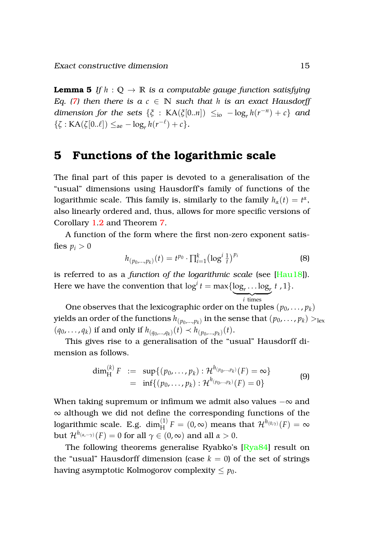**Lemma 5** If  $h : \mathbb{Q} \to \mathbb{R}$  is a computable gauge function satisfying *Eq.* [\(7\)](#page-12-2) then there is  $a \, c \in \mathbb{N}$  such that *h* is an exact Hausdorff *dimension for the sets*  $\{\xi : KA(\xi[0..n]) \leq_{io} - \log_r h(r^{-n}) + c\}$  *and*  $\{\zeta : KA(\zeta[0..\ell]) \leq_{\text{ae}} - \log_r h(r^{-\ell}) + c\}.$ 

### <span id="page-15-0"></span>**5 Functions of the logarithmic scale**

The final part of this paper is devoted to a generalisation of the "usual" dimensions using Hausdorff's family of functions of the logarithmic scale. This family is, similarly to the family  $h_\alpha(t) = t^\alpha$ , also linearly ordered and, thus, allows for more specific versions of Corollary [1](#page-10-2)[.2](#page-10-3) and Theorem [7.](#page-14-2)

A function of the form where the first non-zero exponent satisfies  $p_i > 0$ 

$$
h_{(p_0,...,p_k)}(t) = t^{p_0} \cdot \prod_{i=1}^k (\log^i \frac{1}{t})^{p_i}
$$
 (8)

is referred to as a *function of the logarithmic scale* (see [\[Hau18\]](#page-18-3)). Here we have the convention that  $\log^i t = \max\{\log_t \ldots \log_t t, 1\}.$  $\overline{i}$  times *i* times

One observes that the lexicographic order on the tuples  $(p_0, \ldots, p_k)$ yields an order of the functions  $h_{(p_0,...,p_k)}$  in the sense that  $(p_0,\ldots,p_k)>_{\text{lex}}$  $(q_0, \ldots, q_k)$  if and only if  $h_{(q_0, \ldots, q_k)}(t) \prec h_{(p_0, \ldots, p_k)}(t)$ .

This gives rise to a generalisation of the "usual" Hausdorff dimension as follows.

$$
\dim_H^{(k)} F := \sup \{ (p_0, \dots, p_k) : \mathcal{H}^{h_{(p_0, \dots, p_k)}}(F) = \infty \}
$$
  
= 
$$
\inf \{ (p_0, \dots, p_k) : \mathcal{H}^{h_{(p_0, \dots, p_k)}}(F) = 0 \}
$$
 (9)

When taking supremum or infimum we admit also values −∞ and ∞ although we did not define the corresponding functions of the  $\log$ arithmic scale. E.g.  $\dim_{\rm H}^{(1)}F = (0,\infty)$  means that  ${\mathcal H}^{h_{(0,\gamma)}}(F) = \infty$ but  $\mathcal{H}^{h_{(\alpha,-\gamma)}}(F)=0$  for all  $\gamma\in(0,\infty)$  and all  $\alpha>0.$ 

The following theorems generalise Ryabko's [\[Rya84\]](#page-19-4) result on the "usual" Hausdorff dimension (case  $k = 0$ ) of the set of strings having asymptotic Kolmogorov complexity  $\leq p_0$ .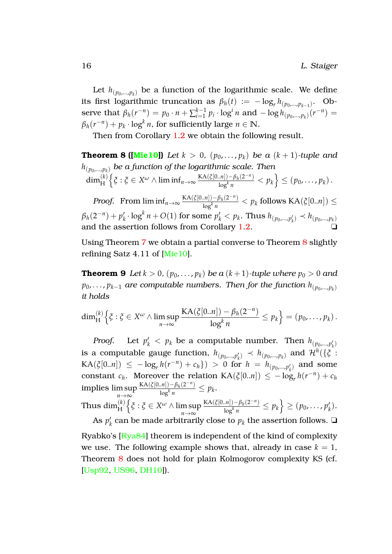Let  $h_{(p_0,...,p_k)}$  be a function of the logarithmic scale. We define its first logarithmic truncation as  $\beta_h(t) := -\log_r h_{(p_0,\dots,p_{k-1})}$ . Observe that  $\beta_h(r^{-n}) = p_0 \cdot n + \sum_{i=1}^{k-1}$  $\int_{i=1}^{k-1} p_i \cdot \log^i n$  and  $-\log h_{(p_0,...,p_k)}(r^{-n}) =$  $\beta_h(r^{-n}) + p_k \cdot \log^k n$ , for sufficiently large  $n \in \mathbb{N}$ .

<span id="page-16-0"></span>Then from Corollary [1](#page-10-2)[.2](#page-10-3) we obtain the following result.

**Theorem 8 ([\[Mie10\]](#page-18-9))** *Let*  $k > 0$ ,  $(p_0, ..., p_k)$  *be a*  $(k + 1)$ *-tuple and h*(*p*0,...,*p<sup>k</sup>* ) *be a function of the logarithmic scale. Then*  $\dim^{(k)}_{\rm H}$  $\left\{ \xi : \xi \in X^\omega \wedge \liminf_{n \to \infty} \frac{KA(\xi[0..n]) - \beta_h(2^{-n})}{\log^k n} \right\}$  $\left\{\frac{1}{\log^k n} \right\} \leq (p_0, \ldots, p_k).$ 

*Proof.* From  $\liminf_{n\to\infty} \frac{KA(\xi[0..n])-\beta_h(2^{-n})}{\log^k n}$  $\frac{\ln|D - p_h(2)|}{\log^k n}$  <  $p_k$  follows KA( $\zeta[0..n]$ )  $\leq$  $\beta_h(2^{-n}) + p'_h$  $p'_k \cdot \log^k n + O(1)$  for some  $p'_k < p_k$ . Thus  $h_{(p_0,...,p'_k)} \prec h_{(p_0,...,p_k)}$ and the assertion follows from Corollary  $1.2$  $1.2$ .

<span id="page-16-1"></span>Using Theorem [7](#page-14-2) we obtain a partial converse to Theorem [8](#page-16-0) slightly refining Satz 4.11 of [\[Mie10\]](#page-18-9).

**Theorem 9** *Let*  $k > 0$ ,  $(p_0, \ldots, p_k)$  *be a*  $(k+1)$ *-tuple where*  $p_0 > 0$  *and p*0, . . . , *pk*−<sup>1</sup> *are computable numbers. Then for the function h*(*p*0,...,*p<sup>k</sup>* ) *it holds*

$$
\dim_H^{(k)}\left\{\xi:\xi\in X^\omega\wedge\limsup_{n\to\infty}\frac{\text{KA}(\xi[0..n])-\beta_h(2^{-n})}{\log^kn}\leq p_k\right\}=(p_0,\ldots,p_k).
$$

*Proof.* Let  $p'_k < p_k$  be a computable number. Then  $h_{(p_0,...,p'_k)}$ *k* is a computable gauge function,  $h_{(p_0,...,p'_k)} \prec h_{(p_0,...,p_k)}$  and  $\mathcal{H}^h(\{\xi\}$  :  $KA(\xi[0..n]) \le -\log_r h(r^{-n}) + c_h) > 0$  for  $h = h_{(p_0,...,p'_k)}$  and some constant  $c_h$ . Moreover the relation  $\text{KA}(\xi[0..n]) \leq -\log_r h(r^{-n}) + c_h$ implies lim sup *n*→∞  $KA(\xi[0..n]) - \beta_h(2^{-n})$  $\frac{\ln(n) - p_h(2^{-n})}{\log^k n} \leq p_k.$ Thus  $\dim^{(k)}_{\rm H}$ n *ξ* : *ξ* ∈ *X <sup>ω</sup>* ∧ lim sup *n*→∞  $KA(\xi[0..n]) - \beta_h(2^{-n})$  $\frac{\rho(n!)-\beta_h(2^{-n})}{\log^k n}\leq p_k\Big\}\geq (p_0,\ldots,p'_k)$ *k* ). As  $p'_k$  $\mathbf{k}'$  can be made arbitrarily close to  $p_k$  the assertion follows.  $\Box$ 

Ryabko's [\[Rya84\]](#page-19-4) theorem is independent of the kind of complexity we use. The following example shows that, already in case  $k = 1$ , Theorem [8](#page-16-0) does not hold for plain Kolmogorov complexity KS (cf. [\[Usp92,](#page-19-2) [US96,](#page-19-3) [DH10\]](#page-17-2)).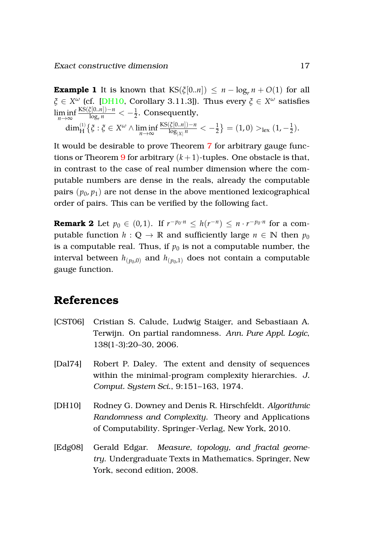**Example 1** It is known that  $\text{KS}(\xi[0..n]) \leq n - \log_r n + O(1)$  for all *ξ* ∈ *X <sup>ω</sup>* (cf. [\[DH10,](#page-17-2) Corollary 3.11.3]). Thus every *ξ* ∈ *X <sup>ω</sup>* satisfies lim inf *n*→∞ KS(*ξ*[0..*n*])−*n*  $\frac{L_2[0..n]-n}{\log_r n} < -\frac{1}{2}$ . Consequently,

$$
\dim_H^{(1)}\{\xi:\xi\in X^\omega\wedge \liminf_{n\to\infty}\frac{\text{KS}(\xi[0..n])-n}{\log_{|X|}n} < -\frac{1}{2}\} = (1,0) >_{\text{lex}} (1,-\frac{1}{2}).
$$

It would be desirable to prove Theorem [7](#page-14-2) for arbitrary gauge func-tions or Theorem [9](#page-16-1) for arbitrary  $(k+1)$ -tuples. One obstacle is that, in contrast to the case of real number dimension where the computable numbers are dense in the reals, already the computable pairs  $(p_0, p_1)$  are not dense in the above mentioned lexicographical order of pairs. This can be verified by the following fact.

**Remark 2** Let  $p_0 \in (0, 1)$ . If  $r^{-p_0 \cdot n} \leq h(r^{-n}) \leq n \cdot r^{-p_0 \cdot n}$  for a computable function  $h : \mathbb{Q} \to \mathbb{R}$  and sufficiently large  $n \in \mathbb{N}$  then  $p_0$ is a computable real. Thus, if  $p_0$  is not a computable number, the interval between  $h_{(p_0,0)}$  and  $h_{(p_0,1)}$  does not contain a computable gauge function.

## **References**

- <span id="page-17-0"></span>[CST06] Cristian S. Calude, Ludwig Staiger, and Sebastiaan A. Terwijn. On partial randomness. *Ann. Pure Appl. Logic*, 138(1-3):20–30, 2006.
- <span id="page-17-3"></span>[Dal74] Robert P. Daley. The extent and density of sequences within the minimal-program complexity hierarchies. *J. Comput. System Sci.*, 9:151–163, 1974.
- <span id="page-17-2"></span>[DH10] Rodney G. Downey and Denis R. Hirschfeldt. *Algorithmic Randomness and Complexity*. Theory and Applications of Computability. Springer-Verlag, New York, 2010.
- <span id="page-17-1"></span>[Edg08] Gerald Edgar. *Measure, topology, and fractal geometry*. Undergraduate Texts in Mathematics. Springer, New York, second edition, 2008.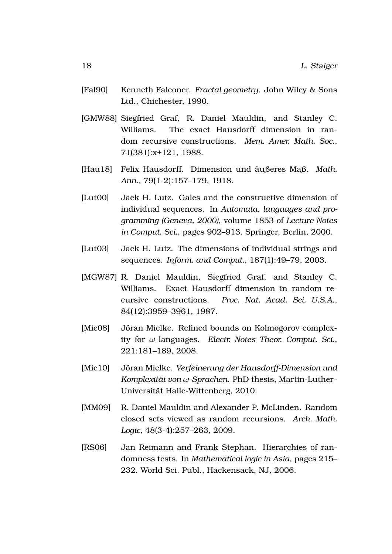- <span id="page-18-7"></span>[Fal90] Kenneth Falconer. *Fractal geometry*. John Wiley & Sons Ltd., Chichester, 1990.
- <span id="page-18-5"></span>[GMW88] Siegfried Graf, R. Daniel Mauldin, and Stanley C. Williams. The exact Hausdorff dimension in random recursive constructions. *Mem. Amer. Math. Soc.*, 71(381):x+121, 1988.
- <span id="page-18-3"></span>[Hau18] Felix Hausdorff. Dimension und äußeres Maß. Math. *Ann.*, 79(1-2):157–179, 1918.
- <span id="page-18-0"></span>[Lut00] Jack H. Lutz. Gales and the constructive dimension of individual sequences. In *Automata, languages and programming (Geneva, 2000)*, volume 1853 of *Lecture Notes in Comput. Sci.*, pages 902–913. Springer, Berlin, 2000.
- <span id="page-18-1"></span>[Lut03] Jack H. Lutz. The dimensions of individual strings and sequences. *Inform. and Comput.*, 187(1):49–79, 2003.
- <span id="page-18-4"></span>[MGW87] R. Daniel Mauldin, Siegfried Graf, and Stanley C. Williams. Exact Hausdorff dimension in random recursive constructions. *Proc. Nat. Acad. Sci. U.S.A.*, 84(12):3959–3961, 1987.
- <span id="page-18-8"></span>[Mie08] Jöran Mielke. Refined bounds on Kolmogorov complexity for *ω*-languages. *Electr. Notes Theor. Comput. Sci.*, 221:181–189, 2008.
- <span id="page-18-9"></span>[Mie10] Jöran Mielke. Verfeinerung der Hausdorff-Dimension und *Komplexitat von ¨ ω-Sprachen*. PhD thesis, Martin-Luther-Universität Halle-Wittenberg, 2010.
- <span id="page-18-6"></span>[MM09] R. Daniel Mauldin and Alexander P. McLinden. Random closed sets viewed as random recursions. *Arch. Math. Logic*, 48(3-4):257–263, 2009.
- <span id="page-18-2"></span>[RS06] Jan Reimann and Frank Stephan. Hierarchies of randomness tests. In *Mathematical logic in Asia*, pages 215– 232. World Sci. Publ., Hackensack, NJ, 2006.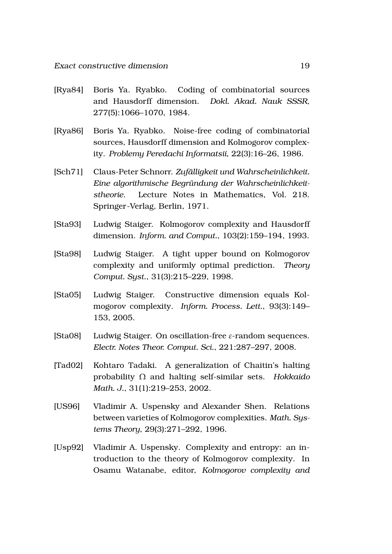- <span id="page-19-4"></span>[Rya84] Boris Ya. Ryabko. Coding of combinatorial sources and Hausdorff dimension. *Dokl. Akad. Nauk SSSR*, 277(5):1066–1070, 1984.
- <span id="page-19-5"></span>[Rya86] Boris Ya. Ryabko. Noise-free coding of combinatorial sources, Hausdorff dimension and Kolmogorov complexity. *Problemy Peredachi Informatsii*, 22(3):16–26, 1986.
- <span id="page-19-8"></span>[Sch71] Claus-Peter Schnorr. *Zufalligkeit und Wahrscheinlichkeit. ¨ Eine algorithmische Begrundung der Wahrscheinlichkeit- ¨ stheorie*. Lecture Notes in Mathematics, Vol. 218. Springer-Verlag, Berlin, 1971.
- <span id="page-19-6"></span>[Sta93] Ludwig Staiger. Kolmogorov complexity and Hausdorff dimension. *Inform. and Comput.*, 103(2):159–194, 1993.
- <span id="page-19-7"></span>[Sta98] Ludwig Staiger. A tight upper bound on Kolmogorov complexity and uniformly optimal prediction. *Theory Comput. Syst.*, 31(3):215–229, 1998.
- <span id="page-19-0"></span>[Sta05] Ludwig Staiger. Constructive dimension equals Kolmogorov complexity. *Inform. Process. Lett.*, 93(3):149– 153, 2005.
- <span id="page-19-9"></span>[Sta08] Ludwig Staiger. On oscillation-free *ε*-random sequences. *Electr. Notes Theor. Comput. Sci.*, 221:287–297, 2008.
- <span id="page-19-1"></span>[Tad02] Kohtaro Tadaki. A generalization of Chaitin's halting probability Ω and halting self-similar sets. *Hokkaido Math. J.*, 31(1):219–253, 2002.
- <span id="page-19-3"></span>[US96] Vladimir A. Uspensky and Alexander Shen. Relations between varieties of Kolmogorov complexities. *Math. Systems Theory*, 29(3):271–292, 1996.
- <span id="page-19-2"></span>[Usp92] Vladimir A. Uspensky. Complexity and entropy: an introduction to the theory of Kolmogorov complexity. In Osamu Watanabe, editor, *Kolmogorov complexity and*